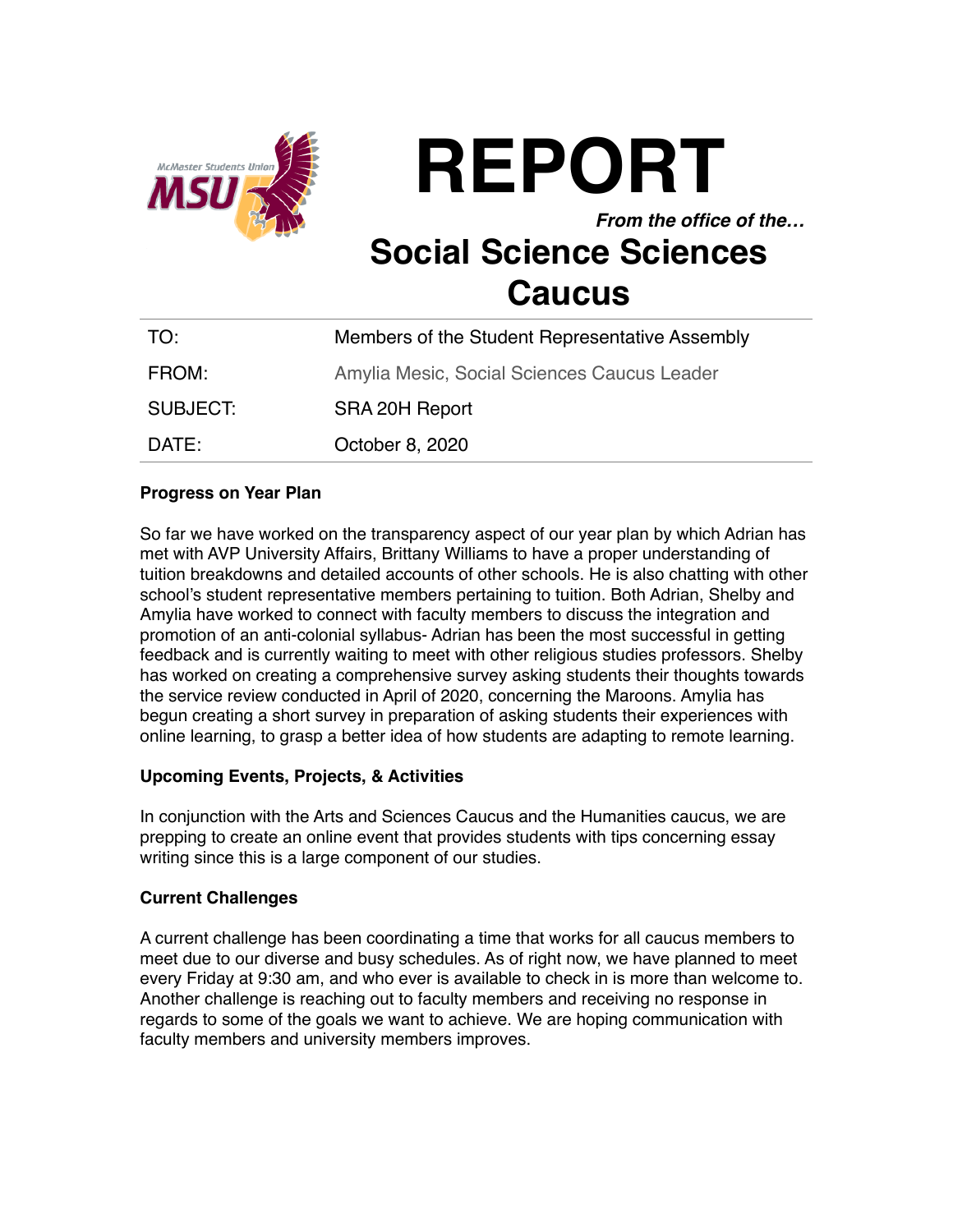

**REPORT** *From the office of the…* **Social Science Sciences Caucus**

| TO:      | Members of the Student Representative Assembly |
|----------|------------------------------------------------|
| FROM:    | Amylia Mesic, Social Sciences Caucus Leader    |
| SUBJECT: | SRA 20H Report                                 |
| DATE:    | October 8, 2020                                |

# **Progress on Year Plan**

So far we have worked on the transparency aspect of our year plan by which Adrian has met with AVP University Affairs, Brittany Williams to have a proper understanding of tuition breakdowns and detailed accounts of other schools. He is also chatting with other school's student representative members pertaining to tuition. Both Adrian, Shelby and Amylia have worked to connect with faculty members to discuss the integration and promotion of an anti-colonial syllabus- Adrian has been the most successful in getting feedback and is currently waiting to meet with other religious studies professors. Shelby has worked on creating a comprehensive survey asking students their thoughts towards the service review conducted in April of 2020, concerning the Maroons. Amylia has begun creating a short survey in preparation of asking students their experiences with online learning, to grasp a better idea of how students are adapting to remote learning.

# **Upcoming Events, Projects, & Activities**

In conjunction with the Arts and Sciences Caucus and the Humanities caucus, we are prepping to create an online event that provides students with tips concerning essay writing since this is a large component of our studies.

# **Current Challenges**

A current challenge has been coordinating a time that works for all caucus members to meet due to our diverse and busy schedules. As of right now, we have planned to meet every Friday at 9:30 am, and who ever is available to check in is more than welcome to. Another challenge is reaching out to faculty members and receiving no response in regards to some of the goals we want to achieve. We are hoping communication with faculty members and university members improves.